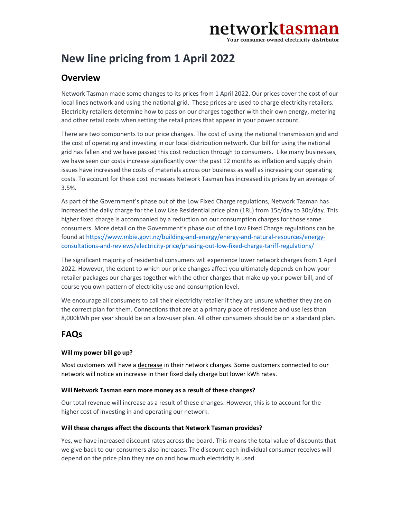# networktasman

Your consumer-owned electricity distributor

## New line pricing from 1 April 2022

### **Overview**

Network Tasman made some changes to its prices from 1 April 2022. Our prices cover the cost of our local lines network and using the national grid. These prices are used to charge electricity retailers. Electricity retailers determine how to pass on our charges together with their own energy, metering and other retail costs when setting the retail prices that appear in your power account.

There are two components to our price changes. The cost of using the national transmission grid and the cost of operating and investing in our local distribution network. Our bill for using the national grid has fallen and we have passed this cost reduction through to consumers. Like many businesses, we have seen our costs increase significantly over the past 12 months as inflation and supply chain issues have increased the costs of materials across our business as well as increasing our operating costs. To account for these cost increases Network Tasman has increased its prices by an average of 3.5%.

As part of the Government's phase out of the Low Fixed Charge regulations, Network Tasman has increased the daily charge for the Low Use Residential price plan (1RL) from 15c/day to 30c/day. This higher fixed charge is accompanied by a reduction on our consumption charges for those same consumers. More detail on the Government's phase out of the Low Fixed Charge regulations can be found at https://www.mbie.govt.nz/building-and-energy/energy-and-natural-resources/energyconsultations-and-reviews/electricity-price/phasing-out-low-fixed-charge-tariff-regulations/

The significant majority of residential consumers will experience lower network charges from 1 April 2022. However, the extent to which our price changes affect you ultimately depends on how your retailer packages our charges together with the other charges that make up your power bill, and of course you own pattern of electricity use and consumption level.

We encourage all consumers to call their electricity retailer if they are unsure whether they are on the correct plan for them. Connections that are at a primary place of residence and use less than 8,000kWh per year should be on a low-user plan. All other consumers should be on a standard plan.

### FAQs

#### Will my power bill go up?

Most customers will have a decrease in their network charges. Some customers connected to our network will notice an increase in their fixed daily charge but lower kWh rates.

#### Will Network Tasman earn more money as a result of these changes?

Our total revenue will increase as a result of these changes. However, this is to account for the higher cost of investing in and operating our network.

#### Will these changes affect the discounts that Network Tasman provides?

Yes, we have increased discount rates across the board. This means the total value of discounts that we give back to our consumers also increases. The discount each individual consumer receives will depend on the price plan they are on and how much electricity is used.